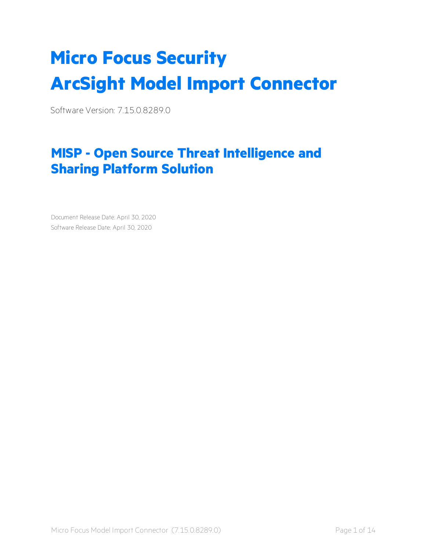# **Micro Focus Security ArcSight Model Import Connector**

Software Version: 7.15.0.8289.0

## **MISP - Open Source Threat Intelligence and Sharing Platform Solution**

Document Release Date: April 30, 2020 Software Release Date: April 30, 2020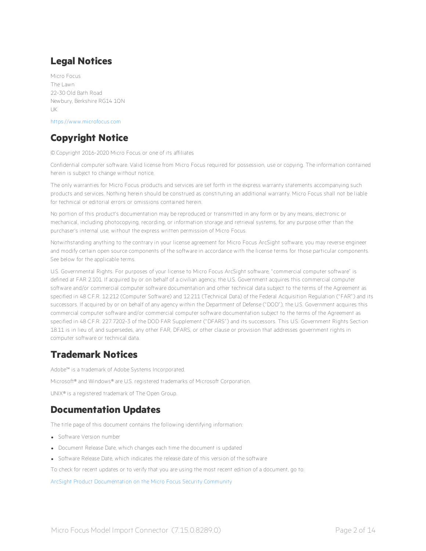### **Legal Notices**

Micro Focus The Lawn 22-30 Old Bath Road Newbury, Berkshire RG14 1QN  $| \ \mathbb{K}$ 

[https://www.microfocus.com](https://www.microfocus.com/)

### **Copyright Notice**

© Copyright 2016-2020 Micro Focus or one of its affiliates

Confidential computer software. Valid license from Micro Focus required for possession, use or copying. The information contained herein is subject to change without notice.

The only warranties for Micro Focus products and services are set forth in the express warranty statements accompanying such products and services. Nothing herein should be construed as constituting an additional warranty. Micro Focus shall not be liable for technical or editorial errors or omissions contained herein.

No portion of this product's documentation may be reproduced or transmitted in any form or by any means, electronic or mechanical, including photocopying, recording, or information storage and retrieval systems, for any purpose other than the purchaser's internal use, without the express written permission of Micro Focus.

Notwithstanding anything to the contrary in your license agreement for Micro Focus ArcSight software, you may reverse engineer and modify certain open source components of the software in accordance with the license terms for those particular components. See below for the applicable terms.

U.S. Governmental Rights. For purposes of your license to Micro Focus ArcSight software, " commercial computer software" is defined at FAR 2.101. If acquired by or on behalf of a civilian agency, the U.S. Government acquires this commercial computer software and/or commercial computer software documentation and other technical data subject to the terms of the Agreement as specified in 48 C.F.R. 12.212 (Computer Software) and 12.211 (Technical Data) of the Federal Acquisition Regulation ("FAR") and its successors. If acquired by or on behalf of any agency within the Department of Defense ("DOD"), the U.S. Government acquires this commercial computer software and/or commercial computer software documentation subject to the terms of the Agreement as specified in 48 C.F.R. 227.7202-3 of the DOD FAR Supplement ("DFARS") and its successors. This U.S. Government Rights Section 18.11 is in lieu of, and supersedes, any other FAR, DFARS, or other clause or provision that addresses government rights in computer software or technical data.

### **Trademark Notices**

Adobe™ is a trademark of Adobe Systems Incorporated. Microsoft® and Windows® are U.S. registered trademarks of Microsoft Corporation. UNIX<sup>®</sup> is a registered trademark of The Open Group.

### **Documentation Updates**

The title page of this document contains the following identifying information:

- Software Version number
- Document Release Date, which changes each time the document is updated
- Software Release Date, which indicates the release date of this version of the software

To check for recent updates or to verify that you are using the most recent edition of a document, go to:

ArcSight Product [Documentation](https://community.microfocus.com/t5/ArcSight-Product-Documentation/ct-p/productdocs) on the Micro Focus Security Community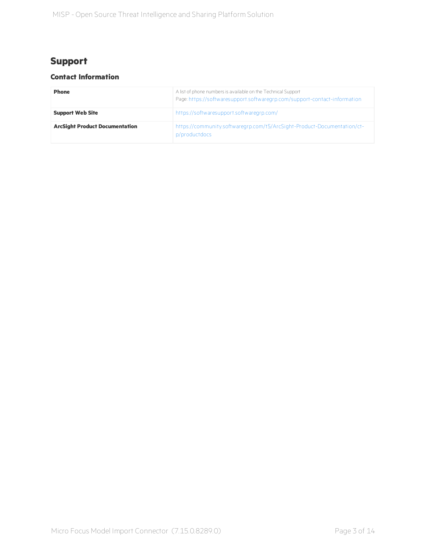### **Support**

#### **Contact Information**

| <b>Phone</b>                          | A list of phone numbers is available on the Technical Support<br>Page: https://softwaresupport.softwaregrp.com/support-contact-information |
|---------------------------------------|--------------------------------------------------------------------------------------------------------------------------------------------|
| <b>Support Web Site</b>               | https://softwaresupport.softwaregrp.com/                                                                                                   |
| <b>ArcSight Product Documentation</b> | https://community.softwaregrp.com/t5/ArcSight-Product-Documentation/ct-<br>p/productdocs                                                   |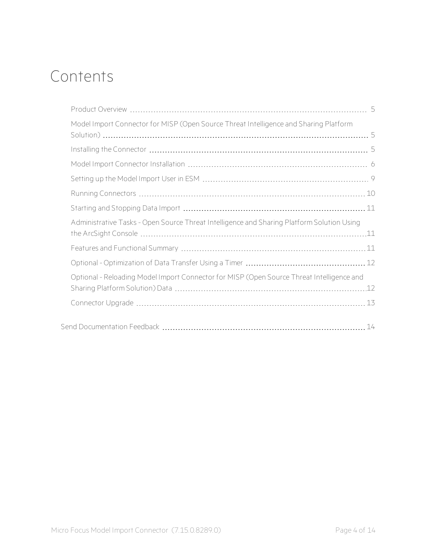# Contents

| Model Import Connector for MISP (Open Source Threat Intelligence and Sharing Platform      |  |
|--------------------------------------------------------------------------------------------|--|
|                                                                                            |  |
|                                                                                            |  |
|                                                                                            |  |
|                                                                                            |  |
|                                                                                            |  |
| Administrative Tasks - Open Source Threat Intelligence and Sharing Platform Solution Using |  |
|                                                                                            |  |
|                                                                                            |  |
| Optional - Reloading Model Import Connector for MISP (Open Source Threat Intelligence and  |  |
|                                                                                            |  |
|                                                                                            |  |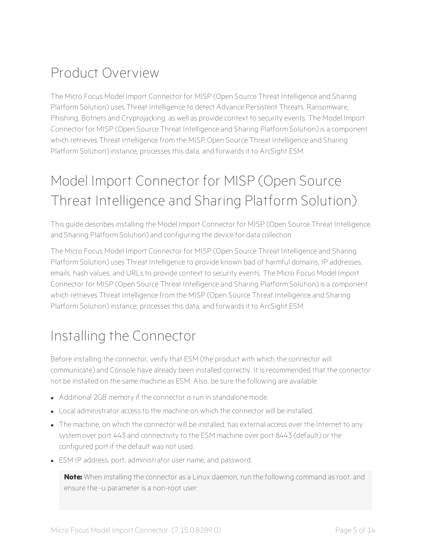# <span id="page-4-0"></span>Product Overview

The Micro Focus Model Import Connector for MISP (Open Source Threat Intelligence and Sharing Platform Solution) uses Threat Intelligence to detect Advance Persistent Threats, Ransomware, Phishing, Botnets and Cryptojacking. as well as provide context to security events. The Model Import Connector for MISP (Open Source Threat Intelligence and Sharing Platform Solution) is a component which retrieves Threat Intelligence from the MISP Open Source Threat Intelligence and Sharing Platform Solution) instance, processes this data, and forwards it to ArcSight ESM.

# <span id="page-4-1"></span>Model Import Connector for MISP (Open Source Threat Intelligence and Sharing Platform Solution)

This guide describes installing the Model Import Connector for MISP (Open Source Threat Intelligence and Sharing Platform Solution) and configuring the device for data collection.

The Micro Focus Model Import Connector for MISP (Open Source Threat Intelligence and Sharing Platform Solution) uses Threat Intelligence to provide known bad of harmful domains, IP addresses, emails, hash values, and URLs to provide context to security events. The Micro Focus Model Import Connector for MISP (Open Source Threat Intelligence and Sharing Platform Solution) is a component which retrieves Threat Intelligence from the MISP (Open Source Threat Intelligence and Sharing Platform Solution) instance, processes this data, and forwards it to ArcSight ESM.

## <span id="page-4-2"></span>Installing the Connector

Before installing the connector, verify that ESM (the product with which the connector will communicate) and Console have already been installed correctly. It is recommended that the connector not be installed on the same machine as ESM. Also, be sure the following are available:

- Additional 2GB memory if the connector is run in standalone mode.
- <sup>l</sup> Local administrator access to the machine on which the connector will be installed.
- The machine, on which the connector will be installed, has external access over the Internet to any system over port 443 and connectivity to the ESM machine over port 8443 (default) or the configured port if the default was not used.
- ESM IP address, port, administrator user name, and password.

**Note:** When installing the connector as a Linux daemon, run the following command as root. and ensure the -u parameter is a non-root user: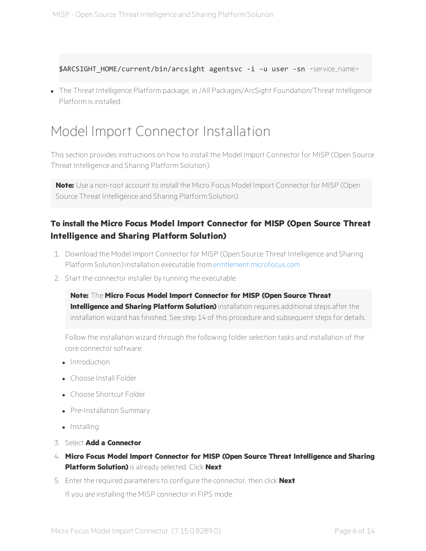\$ARCSIGHT\_HOME/current/bin/arcsight agentsvc -i -u user -sn <service\_name>

• The Threat Intelligence Platform package, in /All Packages/ArcSight Foundation/Threat Intelligence Platform is installed.

## <span id="page-5-0"></span>Model Import Connector Installation

This section provides instructions on how to install the Model Import Connector for MISP (Open Source Threat Intelligence and Sharing Platform Solution).

**Note:** Use a non-root account to install the Micro Focus Model Import Connector for MISP (Open Source Threat Intelligence and Sharing Platform Solution).

### **To install the Micro Focus Model Import Connector for MISP (Open Source Threat Intelligence and Sharing Platform Solution)**

- 1. Download the Model Import Connector for MISP (Open Source Threat Intelligence and Sharing Platform Solution) installation executable from [entitlement.microfocus.com](https://entitlement.microfocus.com/)
- 2. Start the connector installer by running the executable.

**Note:** The **Micro Focus Model Import Connector for MISP (Open Source Threat Intelligence and Sharing Platform Solution)**installation requires additional steps after the installation wizard has finished. See step 14 of this procedure and subsequent steps for details.

Follow the installation wizard through the following folder selection tasks and installation of the core connector software:

- Introduction
- Choose Install Folder
- Choose Shortcut Folder
- Pre-Installation Summary
- Installing
- 3. Select **Add a Connector**.
- 4. **Micro Focus Model Import Connector for MISP (Open Source Threat Intelligence and Sharing Platform Solution)**is already selected. Click **Next**.
- 5. Enter the required parameters to configure the connector, then click **Next**. If you are installing the MISP connector in FIPS mode: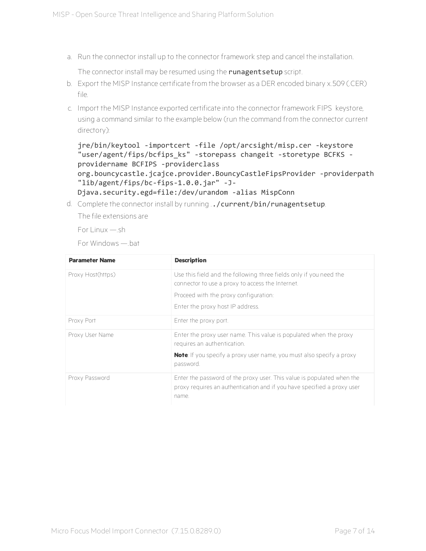a. Run the connector install up to the connector framework step and cancel the installation.

The connector install may be resumed using the runagentsetup script.

- b. Export the MISP Instance certificate from the browser as a DER encoded binary x.509 (.CER) file.
- c. Import the MISP Instance exported certificate into the connector framework FIPS keystore, using a command similar to the example below (run the command from the connector current directory):

```
jre/bin/keytool -importcert -file /opt/arcsight/misp.cer -keystore
"user/agent/fips/bcfips_ks" -storepass changeit -storetype BCFKS -
providername BCFIPS -providerclass
org.bouncycastle.jcajce.provider.BouncyCastleFipsProvider -providerpath
"lib/agent/fips/bc-fips-1.0.0.jar" -J-
Djava.security.egd=file:/dev/urandom -alias MispConn
```
d. Complete the connector install by running .. / current/bin/runagentsetup.

The file extensions are

For Linux —.sh

For Windows — hat

| <b>Parameter Name</b> | <b>Description</b>                                                                                                                                                                                  |
|-----------------------|-----------------------------------------------------------------------------------------------------------------------------------------------------------------------------------------------------|
| Proxy Host(https)     | Use this field and the following three fields only if you need the<br>connector to use a proxy to access the Internet.<br>Proceed with the proxy configuration:<br>Enter the proxy host IP address. |
| Proxy Port            | Enter the proxy port.                                                                                                                                                                               |
| Proxy User Name       | Enter the proxy user name. This value is populated when the proxy<br>requires an authentication.<br><b>Note:</b> If you specify a proxy user name, you must also specify a proxy<br>password.       |
| Proxy Password        | Enter the password of the proxy user. This value is populated when the<br>proxy requires an authentication and if you have specified a proxy user<br>name.                                          |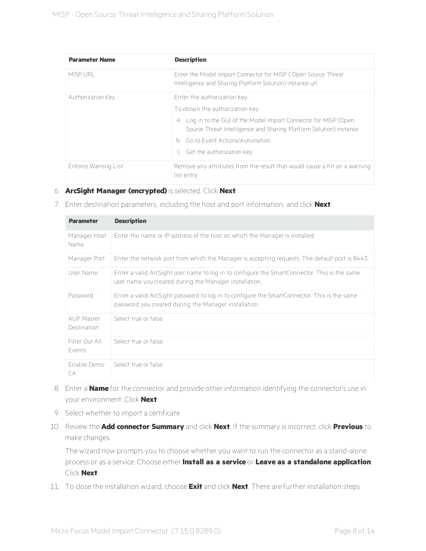| <b>Parameter Name</b> | <b>Description</b>                                                                                                                          |
|-----------------------|---------------------------------------------------------------------------------------------------------------------------------------------|
| MISP URI              | Enter the Model Import Connector for MISP (Open Source Threat<br>Intelligence and Sharing Platform Solution) instance url.                  |
| Authorization Key     | Enter the authorization key.                                                                                                                |
|                       | To obtain the authorization key:                                                                                                            |
|                       | Log in to the GUI of the Model Import Connector for MISP (Open<br>a.<br>Source Threat Intelligence and Sharing Platform Solution) instance. |
|                       | b. Go to Event Actions/Automation.                                                                                                          |
|                       | c. Get the authorization key.                                                                                                               |
| Enforce Warning List  | Remove any attributes from the result that would cause a hit on a warning<br>list entry.                                                    |

#### 6. **ArcSight Manager (encrypted)**is selected. Click **Next**.

7. Enter destination parameters, including the host and port information, and click **Next**.

| <b>Parameter</b>                | <b>Description</b>                                                                                                                                     |
|---------------------------------|--------------------------------------------------------------------------------------------------------------------------------------------------------|
| Manager Host<br>Name            | Enter the name or IP address of the host on which the Manager is installed.                                                                            |
| Manager Port                    | Enter the network port from which the Manager is accepting requests. The default port is 8443.                                                         |
| User Name                       | Enter a valid ArcSight user name to log in to configure the SmartConnector. This is the same<br>user name you created during the Manager installation. |
| Password                        | Enter a valid ArcSight password to log in to configure the SmartConnector. This is the same<br>password you created during the Manager installation.   |
| AUP Master<br>Destination       | Select true or false                                                                                                                                   |
| Filter Out All<br><b>Events</b> | Select true or false.                                                                                                                                  |
| Enable Demo<br>CА               | Select true or false.                                                                                                                                  |

- 8. Enter a **Name** for the connector and provide other information identifying the connector's use in your environment. Click **Next**.
- 9. Select whether to import a certificate.
- 10. Review the **Add connector Summary** and click **Next**. If the summary is incorrect, click **Previous** to make changes.

The wizard now prompts you to choose whether you want to run the connector as a stand-alone process or as a service. Choose either **Install as a service** or **Leave as a standalone application**. Click **Next**.

11. To close the installation wizard, choose **Exit** and click **Next**. There are further installation steps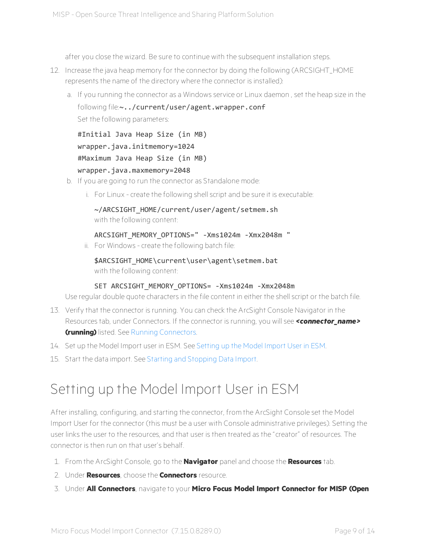after you close the wizard. Be sure to continue with the subsequent installation steps.

- 12. Increase the java heap memory for the connector by doing the following (ARCSIGHT\_HOME represents the name of the directory where the connector is installed):
	- a. If you running the connector as a Windows service or Linux daemon , set the heap size in the

```
following file:~../current/user/agent.wrapper.conf
Set the following parameters:
```

```
#Initial Java Heap Size (in MB)
wrapper.java.initmemory=1024
#Maximum Java Heap Size (in MB)
wrapper.java.maxmemory=2048
```
- b. If you are going to run the connector as Standalone mode:
	- i. For Linux create the following shell script and be sure it is executable:

~/ARCSIGHT\_HOME/current/user/agent/setmem.sh with the following content:

#### ARCSIGHT\_MEMORY\_OPTIONS=" -Xms1024m -Xmx2048m "

ii. For Windows - create the following batch file:

\$ARCSIGHT\_HOME\current\user\agent\setmem.bat with the following content:

#### SET ARCSIGHT MEMORY OPTIONS= -Xms1024m -Xmx2048m

Use regular double quote characters in the file content in either the shell script or the batch file.

- 13. Verify that the connector is running. You can check the ArcSight Console Navigator in the Resources tab, under Connectors. If the connector is running, you will see *<connector\_name>* **(running)**listed. See Running [Connectors](#page-9-0).
- 14. Set up the Model Import user in ESM. See [Setting](#page-8-0) up the Model Import User in ESM.
- <span id="page-8-0"></span>15. Start the data import. See Starting and [Stopping](#page-10-0) Data Import.

## Setting up the Model Import User in ESM

After installing, configuring, and starting the connector, from the ArcSight Console set the Model Import User for the connector (this must be a user with Console administrative privileges). Setting the user links the user to the resources, and that user is then treated as the "creator" of resources. The connector is then run on that user's behalf.

- 1. From the ArcSight Console, go to the **Navigator** panel and choose the **Resources** tab.
- 2. Under **Resources**, choose the **Connectors** resource.
- 3. Under **All Connectors**, navigate to your **Micro Focus Model Import Connector for MISP (Open**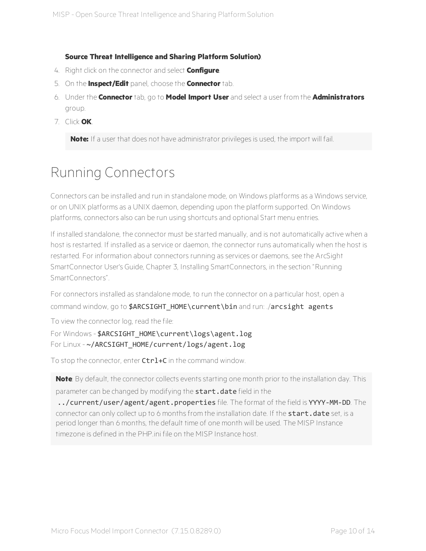#### **Source Threat Intelligence and Sharing Platform Solution)**.

- 4. Right click on the connector and select **Configure**.
- 5. On the **Inspect/Edit** panel, choose the **Connector** tab.
- 6. Under the **Connector** tab, go to **Model Import User** and select a user from the **Administrators** group.
- 7. Click **OK**.

**Note:** If a user that does not have administrator privileges is used, the import will fail.

## <span id="page-9-0"></span>Running Connectors

Connectors can be installed and run in standalone mode, on Windows platforms as a Windows service, or on UNIX platforms as a UNIX daemon, depending upon the platform supported. On Windows platforms, connectors also can be run using shortcuts and optional Start menu entries.

If installed standalone, the connector must be started manually, and is not automatically active when a host is restarted. If installed as a service or daemon, the connector runs automatically when the host is restarted. For information about connectors running as services or daemons, see the ArcSight SmartConnector User's Guide, Chapter 3, Installing SmartConnectors, in the section "Running SmartConnectors".

For connectors installed as standalone mode, to run the connector on a particular host, open a command window, go to \$ARCSIGHT\_HOME\current\bin and run: ./arcsight\_agents

To view the connector log, read the file:

For Windows - \$ARCSIGHT\_HOME\current\logs\agent.log For Linux -~ / ARCSIGHT\_HOME/current/logs/agent.log

To stop the connector, enter Ctrl+C in the command window.

**Note**: By default, the connector collects events starting one month prior to the installation day. This parameter can be changed by modifying the **start.date** field in the

../current/user/agent/agent.properties file. The format of the field is YYYY-MM-DD. The connector can only collect up to 6 months from the installation date. If the **start.date** set, is a period longer than 6 months, the default time of one month will be used. The MISP Instance timezone is defined in the PHP.ini file on the MISP Instance host.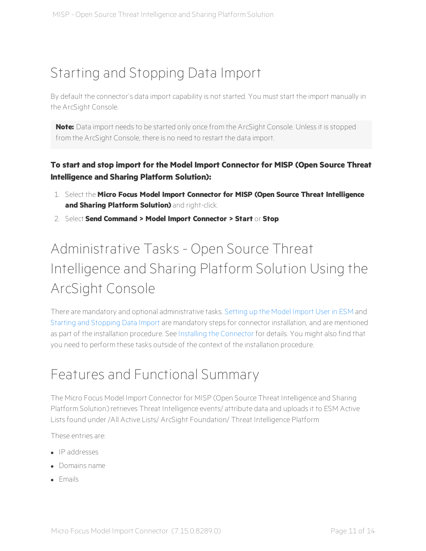## <span id="page-10-0"></span>Starting and Stopping Data Import

By default the connector's data import capability is not started. You must start the import manually in the ArcSight Console.

**Note:** Data import needs to be started only once from the ArcSight Console. Unless it is stopped from the ArcSight Console, there is no need to restart the data import.

### **To start and stop import for the Model Import Connector for MISP (Open Source Threat Intelligence and Sharing Platform Solution):**

- 1. Select the **Micro Focus Model Import Connector for MISP (Open Source Threat Intelligence and Sharing Platform Solution)** and right-click.
- <span id="page-10-1"></span>2. Select **Send Command > Model Import Connector > Start** or **Stop**.

# Administrative Tasks - Open Source Threat Intelligence and Sharing Platform Solution Using the ArcSight Console

There are mandatory and optional administrative tasks. [Setting](#page-8-0) up the Model Import User in ESM and Starting and [Stopping](#page-10-0) Data Import are mandatory steps for connector installation, and are mentioned as part of the installation procedure. See Installing the [Connector](#page-4-2) for details. You might also find that you need to perform these tasks outside of the context of the installation procedure.

## <span id="page-10-2"></span>Features and Functional Summary

The Micro Focus Model Import Connector for MISP (Open Source Threat Intelligence and Sharing Platform Solution) retrieves Threat Intelligence events/ attribute data and uploads it to ESM Active Lists found under /All Active Lists/ ArcSight Foundation/ Threat Intelligence Platform

#### These entries are:

- $\bullet$  IP addresses
- **Domains name**
- $\bullet$  Emails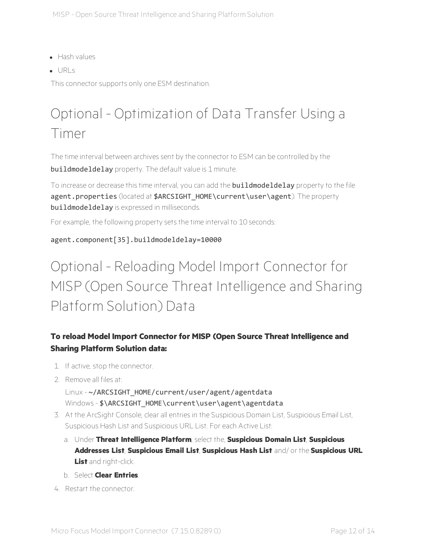- $\bullet$  Hash values
- $\bullet$  URLs

<span id="page-11-0"></span>This connector supports only one ESM destination.

# Optional - Optimization of Data Transfer Using a Timer

The time interval between archives sent by the connector to ESM can be controlled by the buildmodeldelay property. The default value is 1 minute.

To increase or decrease this time interval, you can add the **buildmodeldelay** property to the file agent.properties (located at \$ARCSIGHT\_HOME\current\user\agent). The property buildmodeldelay is expressed in milliseconds.

For example, the following property sets the time interval to 10 seconds:

#### <span id="page-11-1"></span>agent.component[35].buildmodeldelay=10000

# Optional - Reloading Model Import Connector for MISP (Open Source Threat Intelligence and Sharing Platform Solution) Data

### **To reload Model Import Connector for MISP (Open Source Threat Intelligence and Sharing Platform Solution data:**

- 1. If active, stop the connector.
- 2. Remove all files at:

Linux - ~/ARCSIGHT\_HOME/current/user/agent/agentdata Windows - \$\ARCSIGHT\_HOME\current\user\agent\agentdata

- 3. At the ArcSight Console, clear all entries in the Suspicious Domain List, Suspicious Email List, Suspicious Hash List and Suspicious URL List. For each Active List:
	- a. Under **Threat Intelligence Platform**, select the, **Suspicious Domain List**, **Suspicious Addresses List**, **Suspicious Email List**, **Suspicious Hash List** and/ or the **Suspicious URL List** and right-click.
	- b. Select **Clear Entries**.
- 4. Restart the connector.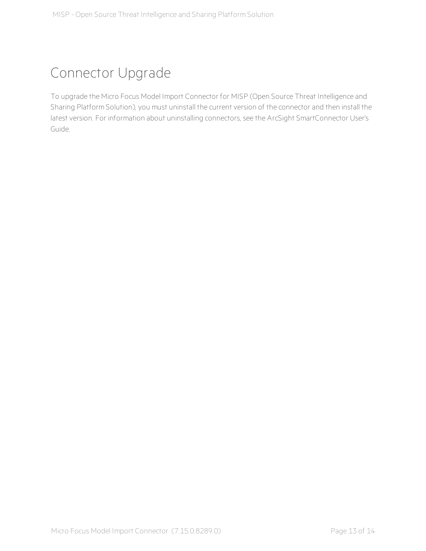## <span id="page-12-0"></span>Connector Upgrade

To upgrade the Micro Focus Model Import Connector for MISP (Open Source Threat Intelligence and Sharing Platform Solution), you must uninstall the current version of the connector and then install the latest version. For information about uninstalling connectors, see the ArcSight SmartConnector User's Guide.